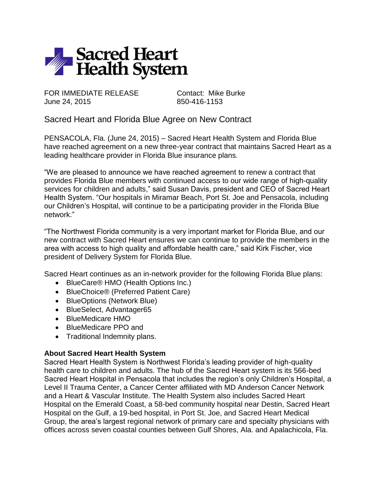

FOR IMMEDIATE RELEASE Contact: Mike Burke June 24, 2015 850-416-1153

Sacred Heart and Florida Blue Agree on New Contract

PENSACOLA, Fla. (June 24, 2015) – Sacred Heart Health System and Florida Blue have reached agreement on a new three-year contract that maintains Sacred Heart as a leading healthcare provider in Florida Blue insurance plans.

"We are pleased to announce we have reached agreement to renew a contract that provides Florida Blue members with continued access to our wide range of high-quality services for children and adults," said Susan Davis, president and CEO of Sacred Heart Health System. "Our hospitals in Miramar Beach, Port St. Joe and Pensacola, including our Children's Hospital, will continue to be a participating provider in the Florida Blue network."

"The Northwest Florida community is a very important market for Florida Blue, and our new contract with Sacred Heart ensures we can continue to provide the members in the area with access to high quality and affordable health care," said Kirk Fischer, vice president of Delivery System for Florida Blue.

Sacred Heart continues as an in-network provider for the following Florida Blue plans:

- BlueCare® HMO (Health Options Inc.)
- BlueChoice® (Preferred Patient Care)
- BlueOptions (Network Blue)
- BlueSelect, Advantager65
- BlueMedicare HMO
- BlueMedicare PPO and
- Traditional Indemnity plans.

## **About Sacred Heart Health System**

Sacred Heart Health System is Northwest Florida's leading provider of high-quality health care to children and adults. The hub of the Sacred Heart system is its 566-bed Sacred Heart Hospital in Pensacola that includes the region's only Children's Hospital, a Level II Trauma Center, a Cancer Center affiliated with MD Anderson Cancer Network and a Heart & Vascular Institute. The Health System also includes Sacred Heart Hospital on the Emerald Coast, a 58-bed community hospital near Destin, Sacred Heart Hospital on the Gulf, a 19-bed hospital, in Port St. Joe, and Sacred Heart Medical Group, the area's largest regional network of primary care and specialty physicians with offices across seven coastal counties between Gulf Shores, Ala. and Apalachicola, Fla.